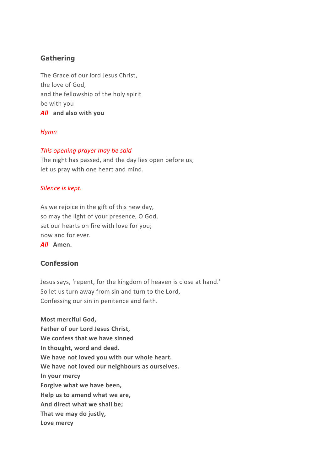# **Gathering**

The Grace of our lord Jesus Christ, the love of God, and the fellowship of the holy spirit be with you *All* **and also with you**

## *Hymn*

## *This opening prayer may be said*

The night has passed, and the day lies open before us; let us pray with one heart and mind.

## *Silence is kept.*

As we rejoice in the gift of this new day, so may the light of your presence, O God, set our hearts on fire with love for you; now and for ever.

*All* **Amen.**

# **Confession**

Jesus says, 'repent, for the kingdom of heaven is close at hand.' So let us turn away from sin and turn to the Lord, Confessing our sin in penitence and faith.

**Most merciful God, Father of our Lord Jesus Christ, We confess that we have sinned In thought, word and deed. We have not loved you with our whole heart. We have not loved our neighbours as ourselves. In your mercy Forgive what we have been, Help us to amend what we are, And direct what we shall be; That we may do justly, Love mercy**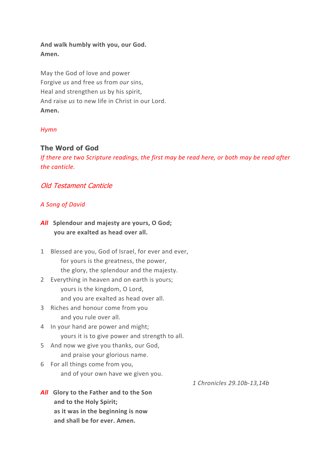# **And walk humbly with you, our God. Amen.**

May the God of love and power Forgive *us* and free *us* from *our* sins, Heal and strengthen *us* by his spirit, And raise *us* to new life in Christ in our Lord. **Amen.** 

# *Hymn*

# **The Word of God**

*If there are two Scripture readings, the first may be read here, or both may be read after the canticle.*

# Old Testament Canticle

## *A Song of David*

- *All* **Splendour and majesty are yours, O God; you are exalted as head over all.**
- 1 Blessed are you, God of Israel, for ever and ever, for yours is the greatness, the power, the glory, the splendour and the majesty.
- 2 Everything in heaven and on earth is yours; yours is the kingdom, O Lord, and you are exalted as head over all.
- 3 Riches and honour come from you and you rule over all.
- 4 In your hand are power and might; yours it is to give power and strength to all.
- 5 And now we give you thanks, our God, and praise your glorious name.
- 6 For all things come from you, and of your own have we given you.
- *All* **Glory to the Father and to the Son and to the Holy Spirit; as it was in the beginning is now and shall be for ever. Amen.**

*1 Chronicles 29.10b-13,14b*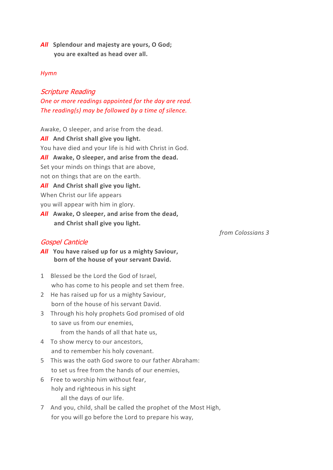*All* **Splendour and majesty are yours, O God; you are exalted as head over all.**

#### *Hymn*

Scripture Reading *One or more readings appointed for the day are read. The reading(s) may be followed by a time of silence.*

Awake, O sleeper, and arise from the dead.

*All* **And Christ shall give you light.** You have died and your life is hid with Christ in God. *All* **Awake, O sleeper, and arise from the dead.** Set your minds on things that are above, not on things that are on the earth. *All* **And Christ shall give you light.** When Christ our life appears you will appear with him in glory.

*All* **Awake, O sleeper, and arise from the dead, and Christ shall give you light.**

#### Gospel Canticle

*from Colossians 3*

- *All* **You have raised up for us a mighty Saviour, born of the house of your servant David.**
- 1 Blessed be the Lord the God of Israel, who has come to his people and set them free.
- 2 He has raised up for us a mighty Saviour, born of the house of his servant David.
- 3 Through his holy prophets God promised of old to save us from our enemies, from the hands of all that hate us,
- 4 To show mercy to our ancestors,
	- and to remember his holy covenant.
- 5 This was the oath God swore to our father Abraham: to set us free from the hands of our enemies,
- 6 Free to worship him without fear, holy and righteous in his sight all the days of our life.
- 7 And you, child, shall be called the prophet of the Most High, for you will go before the Lord to prepare his way,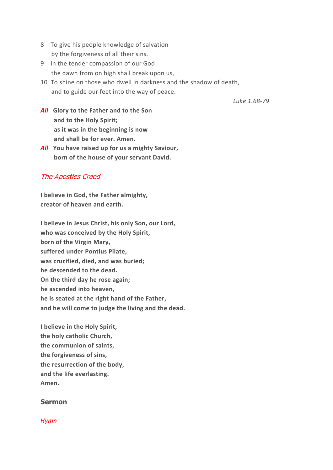- 8 To give his people knowledge of salvation by the forgiveness of all their sins.
- 9 In the tender compassion of our God the dawn from on high shall break upon us,
- 10 To shine on those who dwell in darkness and the shadow of death, and to guide our feet into the way of peace.

*Luke 1.68-79*

- *All* **Glory to the Father and to the Son and to the Holy Spirit; as it was in the beginning is now and shall be for ever. Amen.**
- *All* **You have raised up for us a mighty Saviour, born of the house of your servant David.**

# The Apostles Creed

**I believe in God, the Father almighty, creator of heaven and earth.**

**I believe in Jesus Christ, his only Son, our Lord, who was conceived by the Holy Spirit, born of the Virgin Mary, suffered under Pontius Pilate, was crucified, died, and was buried; he descended to the dead. On the third day he rose again; he ascended into heaven, he is seated at the right hand of the Father, and he will come to judge the living and the dead.**

**I believe in the Holy Spirit, the holy catholic Church, the communion of saints, the forgiveness of sins, the resurrection of the body, and the life everlasting. Amen.**

## **Sermon**

#### *Hymn*